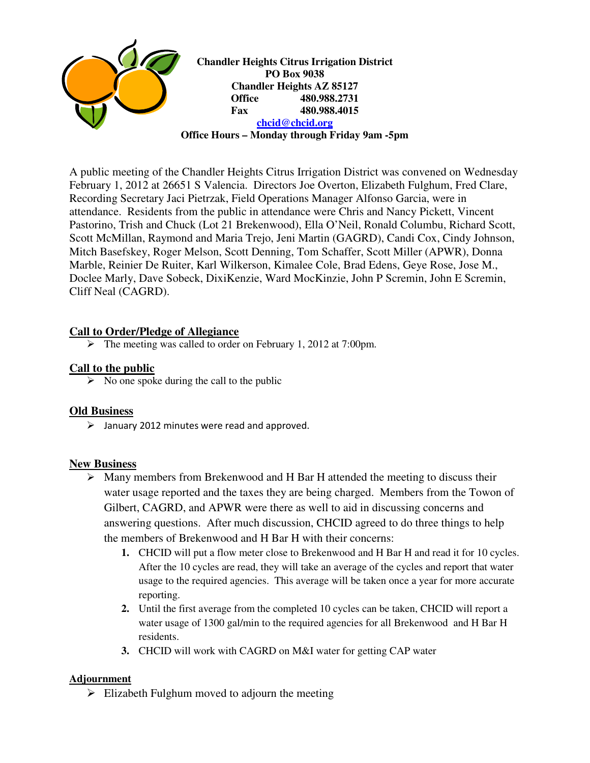

A public meeting of the Chandler Heights Citrus Irrigation District was convened on Wednesday February 1, 2012 at 26651 S Valencia. Directors Joe Overton, Elizabeth Fulghum, Fred Clare, Recording Secretary Jaci Pietrzak, Field Operations Manager Alfonso Garcia, were in attendance. Residents from the public in attendance were Chris and Nancy Pickett, Vincent Pastorino, Trish and Chuck (Lot 21 Brekenwood), Ella O'Neil, Ronald Columbu, Richard Scott, Scott McMillan, Raymond and Maria Trejo, Jeni Martin (GAGRD), Candi Cox, Cindy Johnson, Mitch Basefskey, Roger Melson, Scott Denning, Tom Schaffer, Scott Miller (APWR), Donna Marble, Reinier De Ruiter, Karl Wilkerson, Kimalee Cole, Brad Edens, Geye Rose, Jose M., Doclee Marly, Dave Sobeck, DixiKenzie, Ward MocKinzie, John P Scremin, John E Scremin, Cliff Neal (CAGRD).

# **Call to Order/Pledge of Allegiance**

The meeting was called to order on February 1, 2012 at 7:00pm.

# **Call to the public**

 $\triangleright$  No one spoke during the call to the public

## **Old Business**

 $\triangleright$  January 2012 minutes were read and approved.

## **New Business**

- $\triangleright$  Many members from Brekenwood and H Bar H attended the meeting to discuss their water usage reported and the taxes they are being charged. Members from the Towon of Gilbert, CAGRD, and APWR were there as well to aid in discussing concerns and answering questions. After much discussion, CHCID agreed to do three things to help the members of Brekenwood and H Bar H with their concerns:
	- **1.** CHCID will put a flow meter close to Brekenwood and H Bar H and read it for 10 cycles. After the 10 cycles are read, they will take an average of the cycles and report that water usage to the required agencies. This average will be taken once a year for more accurate reporting.
	- **2.** Until the first average from the completed 10 cycles can be taken, CHCID will report a water usage of 1300 gal/min to the required agencies for all Brekenwood and H Bar H residents.
	- **3.** CHCID will work with CAGRD on M&I water for getting CAP water

### **Adjournment**

 $\triangleright$  Elizabeth Fulghum moved to adjourn the meeting